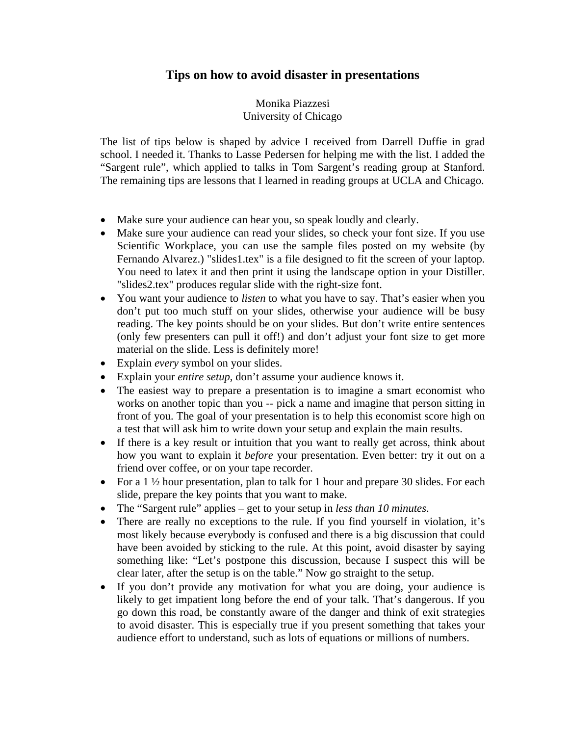## **Tips on how to avoid disaster in presentations**

Monika Piazzesi University of Chicago

The list of tips below is shaped by advice I received from Darrell Duffie in grad school. I needed it. Thanks to Lasse Pedersen for helping me with the list. I added the "Sargent rule", which applied to talks in Tom Sargent's reading group at Stanford. The remaining tips are lessons that I learned in reading groups at UCLA and Chicago.

- Make sure your audience can hear you, so speak loudly and clearly.
- Make sure your audience can read your slides, so check your font size. If you use Scientific Workplace, you can use the sample files posted on my website (by Fernando Alvarez.) "slides1.tex" is a file designed to fit the screen of your laptop. You need to latex it and then print it using the landscape option in your Distiller. "slides2.tex" produces regular slide with the right-size font.
- You want your audience to *listen* to what you have to say. That's easier when you don't put too much stuff on your slides, otherwise your audience will be busy reading. The key points should be on your slides. But don't write entire sentences (only few presenters can pull it off!) and don't adjust your font size to get more material on the slide. Less is definitely more!
- Explain *every* symbol on your slides.
- Explain your *entire setup*, don't assume your audience knows it.
- The easiest way to prepare a presentation is to imagine a smart economist who works on another topic than you -- pick a name and imagine that person sitting in front of you. The goal of your presentation is to help this economist score high on a test that will ask him to write down your setup and explain the main results.
- If there is a key result or intuition that you want to really get across, think about how you want to explain it *before* your presentation. Even better: try it out on a friend over coffee, or on your tape recorder.
- For a  $1\frac{1}{2}$  hour presentation, plan to talk for 1 hour and prepare 30 slides. For each slide, prepare the key points that you want to make.
- The "Sargent rule" applies get to your setup in *less than 10 minutes*.
- There are really no exceptions to the rule. If you find yourself in violation, it's most likely because everybody is confused and there is a big discussion that could have been avoided by sticking to the rule. At this point, avoid disaster by saying something like: "Let's postpone this discussion, because I suspect this will be clear later, after the setup is on the table." Now go straight to the setup.
- If you don't provide any motivation for what you are doing, your audience is likely to get impatient long before the end of your talk. That's dangerous. If you go down this road, be constantly aware of the danger and think of exit strategies to avoid disaster. This is especially true if you present something that takes your audience effort to understand, such as lots of equations or millions of numbers.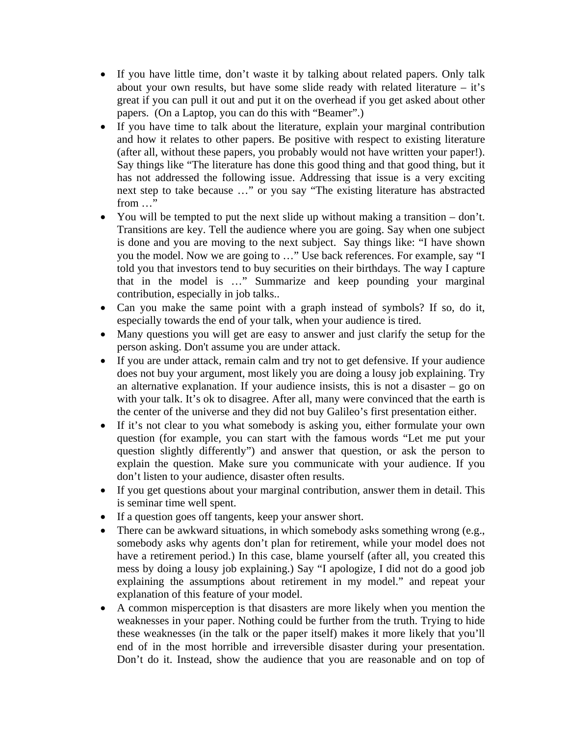- If you have little time, don't waste it by talking about related papers. Only talk about your own results, but have some slide ready with related literature  $-$  it's great if you can pull it out and put it on the overhead if you get asked about other papers. (On a Laptop, you can do this with "Beamer".)
- If you have time to talk about the literature, explain your marginal contribution and how it relates to other papers. Be positive with respect to existing literature (after all, without these papers, you probably would not have written your paper!). Say things like "The literature has done this good thing and that good thing, but it has not addressed the following issue. Addressing that issue is a very exciting next step to take because …" or you say "The existing literature has abstracted from  $\ldots$ "
- You will be tempted to put the next slide up without making a transition don't. Transitions are key. Tell the audience where you are going. Say when one subject is done and you are moving to the next subject. Say things like: "I have shown you the model. Now we are going to …" Use back references. For example, say "I told you that investors tend to buy securities on their birthdays. The way I capture that in the model is …" Summarize and keep pounding your marginal contribution, especially in job talks..
- Can you make the same point with a graph instead of symbols? If so, do it, especially towards the end of your talk, when your audience is tired.
- Many questions you will get are easy to answer and just clarify the setup for the person asking. Don't assume you are under attack.
- If you are under attack, remain calm and try not to get defensive. If your audience does not buy your argument, most likely you are doing a lousy job explaining. Try an alternative explanation. If your audience insists, this is not a disaster  $-$  go on with your talk. It's ok to disagree. After all, many were convinced that the earth is the center of the universe and they did not buy Galileo's first presentation either.
- If it's not clear to you what somebody is asking you, either formulate your own question (for example, you can start with the famous words "Let me put your question slightly differently") and answer that question, or ask the person to explain the question. Make sure you communicate with your audience. If you don't listen to your audience, disaster often results.
- If you get questions about your marginal contribution, answer them in detail. This is seminar time well spent.
- If a question goes off tangents, keep your answer short.
- There can be awkward situations, in which somebody asks something wrong (e.g., somebody asks why agents don't plan for retirement, while your model does not have a retirement period.) In this case, blame yourself (after all, you created this mess by doing a lousy job explaining.) Say "I apologize, I did not do a good job explaining the assumptions about retirement in my model." and repeat your explanation of this feature of your model.
- A common misperception is that disasters are more likely when you mention the weaknesses in your paper. Nothing could be further from the truth. Trying to hide these weaknesses (in the talk or the paper itself) makes it more likely that you'll end of in the most horrible and irreversible disaster during your presentation. Don't do it. Instead, show the audience that you are reasonable and on top of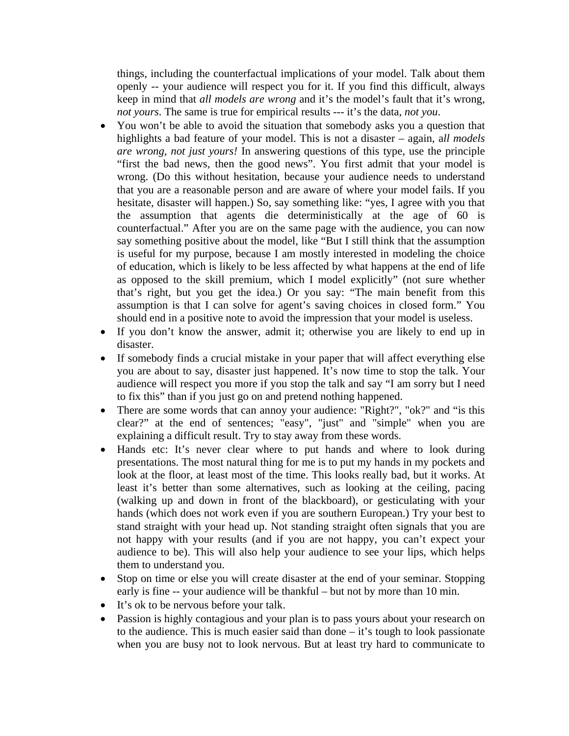things, including the counterfactual implications of your model. Talk about them openly -- your audience will respect you for it. If you find this difficult, always keep in mind that *all models are wrong* and it's the model's fault that it's wrong, *not yours*. The same is true for empirical results --- it's the data, *not you*.

- You won't be able to avoid the situation that somebody asks you a question that highlights a bad feature of your model. This is not a disaster – again, a*ll models are wrong, not just yours!* In answering questions of this type, use the principle "first the bad news, then the good news". You first admit that your model is wrong. (Do this without hesitation, because your audience needs to understand that you are a reasonable person and are aware of where your model fails. If you hesitate, disaster will happen.) So, say something like: "yes, I agree with you that the assumption that agents die deterministically at the age of 60 is counterfactual." After you are on the same page with the audience, you can now say something positive about the model, like "But I still think that the assumption is useful for my purpose, because I am mostly interested in modeling the choice of education, which is likely to be less affected by what happens at the end of life as opposed to the skill premium, which I model explicitly" (not sure whether that's right, but you get the idea.) Or you say: "The main benefit from this assumption is that I can solve for agent's saving choices in closed form." You should end in a positive note to avoid the impression that your model is useless.
- If you don't know the answer, admit it; otherwise you are likely to end up in disaster.
- If somebody finds a crucial mistake in your paper that will affect everything else you are about to say, disaster just happened. It's now time to stop the talk. Your audience will respect you more if you stop the talk and say "I am sorry but I need to fix this" than if you just go on and pretend nothing happened.
- There are some words that can annoy your audience: "Right?", "ok?" and "is this clear?" at the end of sentences; "easy", "just" and "simple" when you are explaining a difficult result. Try to stay away from these words.
- Hands etc: It's never clear where to put hands and where to look during presentations. The most natural thing for me is to put my hands in my pockets and look at the floor, at least most of the time. This looks really bad, but it works. At least it's better than some alternatives, such as looking at the ceiling, pacing (walking up and down in front of the blackboard), or gesticulating with your hands (which does not work even if you are southern European.) Try your best to stand straight with your head up. Not standing straight often signals that you are not happy with your results (and if you are not happy, you can't expect your audience to be). This will also help your audience to see your lips, which helps them to understand you.
- Stop on time or else you will create disaster at the end of your seminar. Stopping early is fine -- your audience will be thankful – but not by more than 10 min.
- It's ok to be nervous before your talk.
- Passion is highly contagious and your plan is to pass yours about your research on to the audience. This is much easier said than done – it's tough to look passionate when you are busy not to look nervous. But at least try hard to communicate to